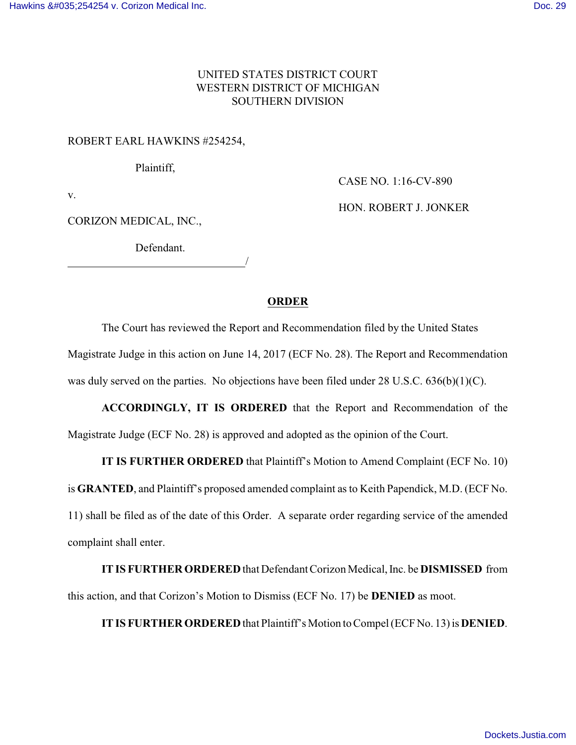### UNITED STATES DISTRICT COURT WESTERN DISTRICT OF MICHIGAN SOUTHERN DIVISION

### ROBERT EARL HAWKINS #254254,

Plaintiff,

CASE NO. 1:16-CV-890

v.

CORIZON MEDICAL, INC.,

Defendant. <u>/</u>

# HON. ROBERT J. JONKER

### **ORDER**

The Court has reviewed the Report and Recommendation filed by the United States Magistrate Judge in this action on June 14, 2017 (ECF No. 28). The Report and Recommendation was duly served on the parties. No objections have been filed under 28 U.S.C. 636(b)(1)(C).

**ACCORDINGLY, IT IS ORDERED** that the Report and Recommendation of the Magistrate Judge (ECF No. 28) is approved and adopted as the opinion of the Court.

## **IT IS FURTHER ORDERED** that Plaintiff's Motion to Amend Complaint (ECF No. 10)

is **GRANTED**, and Plaintiff's proposed amended complaint as to Keith Papendick, M.D. (ECF No.

11) shall be filed as of the date of this Order. A separate order regarding service of the amended complaint shall enter.

**IT IS FURTHER ORDERED** that Defendant Corizon Medical, Inc. be **DISMISSED** from this action, and that Corizon's Motion to Dismiss (ECF No. 17) be **DENIED** as moot.

**IT IS FURTHER ORDERED** that Plaintiff's Motion to Compel (ECFNo. 13) is **DENIED**.